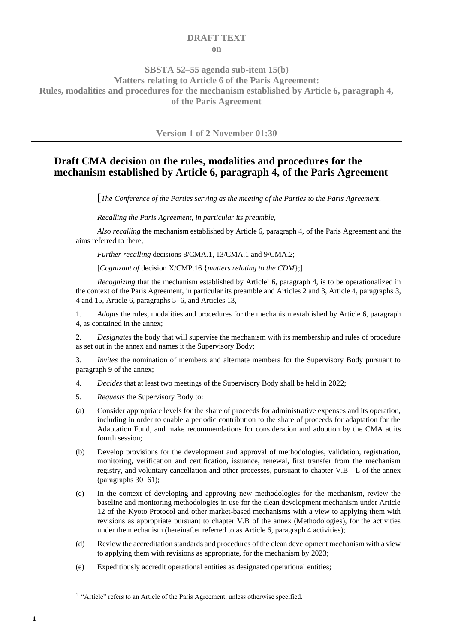### **DRAFT TEXT on**

## **SBSTA 52–55 agenda sub-item 15(b) Matters relating to Article 6 of the Paris Agreement: Rules, modalities and procedures for the mechanism established by Article 6, paragraph 4, of the Paris Agreement**

**Version 1 of 2 November 01:30**

# **Draft CMA decision on the rules, modalities and procedures for the mechanism established by Article 6, paragraph 4, of the Paris Agreement**

**[***The Conference of the Parties serving as the meeting of the Parties to the Paris Agreement,*

*Recalling the Paris Agreement, in particular its preamble,*

*Also recalling* the mechanism established by Article 6, paragraph 4, of the Paris Agreement and the aims referred to there,

*Further recalling* decisions 8/CMA.1, 13/CMA.1 and 9/CMA.2;

[*Cognizant of* decision X/CMP.16 {*matters relating to the CDM*};]

*Recognizing* that the mechanism established by Article<sup>1</sup> 6, paragraph 4, is to be operationalized in the context of the Paris Agreement, in particular its preamble and Articles 2 and 3, Article 4, paragraphs 3, 4 and 15, Article 6, paragraphs 5−6, and Articles 13,

1. *Adopts* the rules, modalities and procedures for the mechanism established by Article 6, paragraph 4, as contained in the annex;

2. *Designates* the body that will supervise the mechanism with its membership and rules of procedure as set out in the annex and names it the Supervisory Body;

3. *Invites* the nomination of members and alternate members for the Supervisory Body pursuant to paragraph 9 of the annex;

- 4. *Decides* that at least two meetings of the Supervisory Body shall be held in 2022;
- 5. *Requests* the Supervisory Body to:
- (a) Consider appropriate levels for the share of proceeds for administrative expenses and its operation, including in order to enable a periodic contribution to the share of proceeds for adaptation for the Adaptation Fund, and make recommendations for consideration and adoption by the CMA at its fourth session;
- (b) Develop provisions for the development and approval of methodologies, validation, registration, monitoring, verification and certification, issuance, renewal, first transfer from the mechanism registry, and voluntary cancellation and other processes, pursuant to chapter V.B - L of the annex (paragraphs 30−61);
- (c) In the context of developing and approving new methodologies for the mechanism, review the baseline and monitoring methodologies in use for the clean development mechanism under Article 12 of the Kyoto Protocol and other market-based mechanisms with a view to applying them with revisions as appropriate pursuant to chapter V.B of the annex (Methodologies), for the activities under the mechanism (hereinafter referred to as Article 6, paragraph 4 activities);
- (d) Review the accreditation standards and procedures of the clean development mechanism with a view to applying them with revisions as appropriate, for the mechanism by 2023;
- (e) Expeditiously accredit operational entities as designated operational entities;

<sup>&</sup>lt;sup>1</sup> "Article" refers to an Article of the Paris Agreement, unless otherwise specified.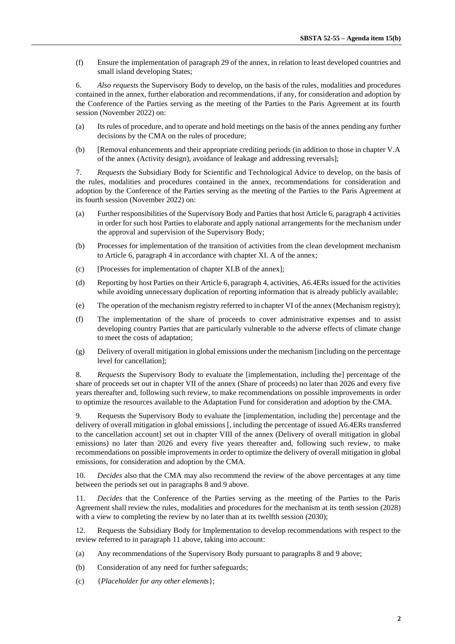(f) Ensure the implementation of paragraph 29 of the annex, in relation to least developed countries and small island developing States;

6. *Also requests* the Supervisory Body to develop, on the basis of the rules, modalities and procedures contained in the annex, further elaboration and recommendations, if any, for consideration and adoption by the Conference of the Parties serving as the meeting of the Parties to the Paris Agreement at its fourth session (November 2022) on:

- (a) Its rules of procedure, and to operate and hold meetings on the basis of the annex pending any further decisions by the CMA on the rules of procedure;
- (b) [Removal enhancements and their appropriate crediting periods (in addition to those in chapter V.A of the annex (Activity design), avoidance of leakage and addressing reversals];

7. *Requests* the Subsidiary Body for Scientific and Technological Advice to develop, on the basis of the rules, modalities and procedures contained in the annex, recommendations for consideration and adoption by the Conference of the Parties serving as the meeting of the Parties to the Paris Agreement at its fourth session (November 2022) on:

- (a) Further responsibilities of the Supervisory Body and Parties that host Article 6, paragraph 4 activities in order for such host Parties to elaborate and apply national arrangements for the mechanism under the approval and supervision of the Supervisory Body;
- (b) Processes for implementation of the transition of activities from the clean development mechanism to Article 6, paragraph 4 in accordance with chapter XI. A of the annex;
- (c) [Processes for implementation of chapter XI.B of the annex];
- (d) Reporting by host Parties on their Article 6, paragraph 4, activities, A6.4ERs issued for the activities while avoiding unnecessary duplication of reporting information that is already publicly available;
- (e) The operation of the mechanism registry referred to in chapter VI of the annex (Mechanism registry);
- (f) The implementation of the share of proceeds to cover administrative expenses and to assist developing country Parties that are particularly vulnerable to the adverse effects of climate change to meet the costs of adaptation;
- (g) Delivery of overall mitigation in global emissions under the mechanism [including on the percentage level for cancellation];

8. *Requests* the Supervisory Body to evaluate the [implementation, including the] percentage of the share of proceeds set out in chapter VII of the annex (Share of proceeds) no later than 2026 and every five years thereafter and, following such review, to make recommendations on possible improvements in order to optimize the resources available to the Adaptation Fund for consideration and adoption by the CMA.

9. Requests the Supervisory Body to evaluate the [implementation, including the] percentage and the delivery of overall mitigation in global emissions [, including the percentage of issued A6.4ERs transferred to the cancellation account] set out in chapter VIII of the annex (Delivery of overall mitigation in global emissions) no later than 2026 and every five years thereafter and, following such review, to make recommendations on possible improvements in order to optimize the delivery of overall mitigation in global emissions, for consideration and adoption by the CMA.

10. *Decides* also that the CMA may also recommend the review of the above percentages at any time between the periods set out in paragraphs 8 and 9 above.

11. *Decides* that the Conference of the Parties serving as the meeting of the Parties to the Paris Agreement shall review the rules, modalities and procedures for the mechanism at its tenth session (2028) with a view to completing the review by no later than at its twelfth session (2030);

12. Requests the Subsidiary Body for Implementation to develop recommendations with respect to the review referred to in paragraph 11 above, taking into account:

- (a) Any recommendations of the Supervisory Body pursuant to paragraphs 8 and 9 above;
- (b) Consideration of any need for further safeguards;
- (c) {*Placeholder for any other elements*};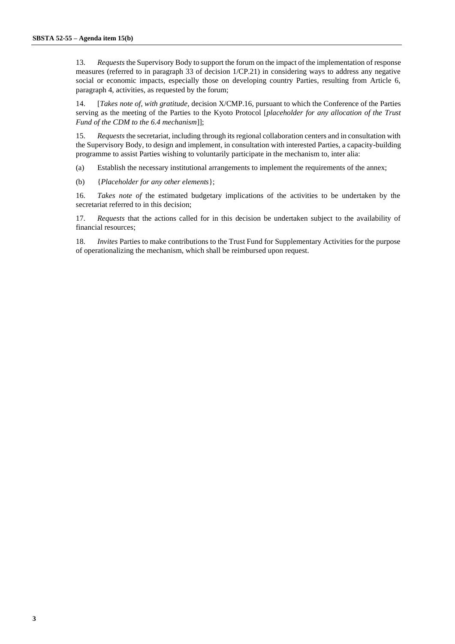13. *Requests* the Supervisory Body to support the forum on the impact of the implementation of response measures (referred to in paragraph 33 of decision 1/CP.21) in considering ways to address any negative social or economic impacts, especially those on developing country Parties, resulting from Article 6, paragraph 4, activities, as requested by the forum;

14. [*Takes note of, with gratitude,* decision X/CMP.16, pursuant to which the Conference of the Parties serving as the meeting of the Parties to the Kyoto Protocol [*placeholder for any allocation of the Trust Fund of the CDM to the 6.4 mechanism*]];

15. *Requests* the secretariat, including through its regional collaboration centers and in consultation with the Supervisory Body, to design and implement, in consultation with interested Parties, a capacity-building programme to assist Parties wishing to voluntarily participate in the mechanism to, inter alia:

(a) Establish the necessary institutional arrangements to implement the requirements of the annex;

(b) {*Placeholder for any other elements*};

16. *Takes note of* the estimated budgetary implications of the activities to be undertaken by the secretariat referred to in this decision;

17. *Requests* that the actions called for in this decision be undertaken subject to the availability of financial resources;

18. *Invites* Parties to make contributions to the Trust Fund for Supplementary Activities for the purpose of operationalizing the mechanism, which shall be reimbursed upon request.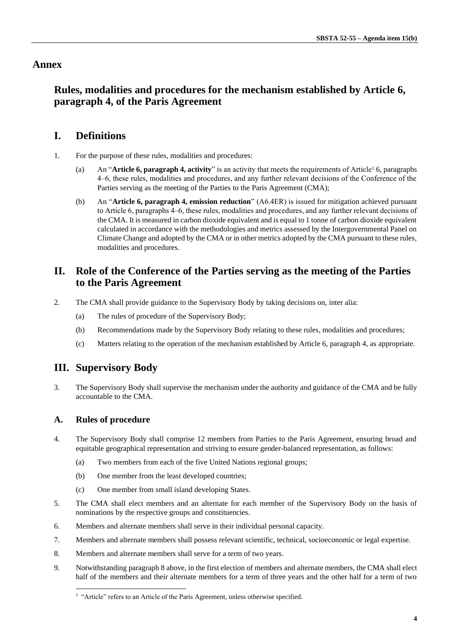## **Annex**

# **Rules, modalities and procedures for the mechanism established by Article 6, paragraph 4, of the Paris Agreement**

# **I. Definitions**

- 1. For the purpose of these rules, modalities and procedures:
	- (a) An "**Article 6, paragraph 4, activity**" is an activity that meets the requirements of Article<sup>1</sup> 6, paragraphs 4‒6, these rules, modalities and procedures, and any further relevant decisions of the Conference of the Parties serving as the meeting of the Parties to the Paris Agreement (CMA);
	- (b) An "**Article 6, paragraph 4, emission reduction**" (A6.4ER) is issued for mitigation achieved pursuant to Article 6, paragraphs 4–6, these rules, modalities and procedures, and any further relevant decisions of the CMA. It is measured in carbon dioxide equivalent and is equal to 1 tonne of carbon dioxide equivalent calculated in accordance with the methodologies and metrics assessed by the Intergovernmental Panel on Climate Change and adopted by the CMA or in other metrics adopted by the CMA pursuant to these rules, modalities and procedures.

# **II. Role of the Conference of the Parties serving as the meeting of the Parties to the Paris Agreement**

- 2. The CMA shall provide guidance to the Supervisory Body by taking decisions on, inter alia:
	- (a) The rules of procedure of the Supervisory Body;
	- (b) Recommendations made by the Supervisory Body relating to these rules, modalities and procedures;
	- (c) Matters relating to the operation of the mechanism established by Article 6, paragraph 4, as appropriate.

## **III. Supervisory Body**

3. The Supervisory Body shall supervise the mechanism under the authority and guidance of the CMA and be fully accountable to the CMA.

## **A. Rules of procedure**

- 4. The Supervisory Body shall comprise 12 members from Parties to the Paris Agreement, ensuring broad and equitable geographical representation and striving to ensure gender-balanced representation, as follows:
	- (a) Two members from each of the five United Nations regional groups;
	- (b) One member from the least developed countries;
	- (c) One member from small island developing States.
- 5. The CMA shall elect members and an alternate for each member of the Supervisory Body on the basis of nominations by the respective groups and constituencies.
- 6. Members and alternate members shall serve in their individual personal capacity.
- 7. Members and alternate members shall possess relevant scientific, technical, socioeconomic or legal expertise.
- 8. Members and alternate members shall serve for a term of two years.
- 9. Notwithstanding paragraph 8 above, in the first election of members and alternate members, the CMA shall elect half of the members and their alternate members for a term of three years and the other half for a term of two

<sup>&</sup>lt;sup>1</sup> "Article" refers to an Article of the Paris Agreement, unless otherwise specified.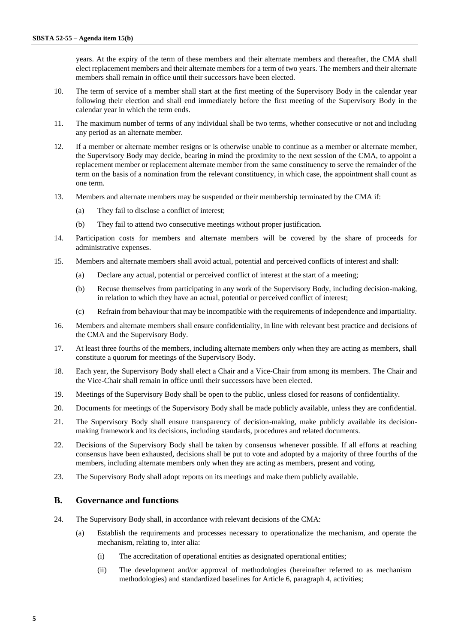years. At the expiry of the term of these members and their alternate members and thereafter, the CMA shall elect replacement members and their alternate members for a term of two years. The members and their alternate members shall remain in office until their successors have been elected.

- 10. The term of service of a member shall start at the first meeting of the Supervisory Body in the calendar year following their election and shall end immediately before the first meeting of the Supervisory Body in the calendar year in which the term ends.
- 11. The maximum number of terms of any individual shall be two terms, whether consecutive or not and including any period as an alternate member.
- 12. If a member or alternate member resigns or is otherwise unable to continue as a member or alternate member, the Supervisory Body may decide, bearing in mind the proximity to the next session of the CMA, to appoint a replacement member or replacement alternate member from the same constituency to serve the remainder of the term on the basis of a nomination from the relevant constituency, in which case, the appointment shall count as one term.
- 13. Members and alternate members may be suspended or their membership terminated by the CMA if:
	- (a) They fail to disclose a conflict of interest;
	- (b) They fail to attend two consecutive meetings without proper justification.
- 14. Participation costs for members and alternate members will be covered by the share of proceeds for administrative expenses.
- 15. Members and alternate members shall avoid actual, potential and perceived conflicts of interest and shall:
	- (a) Declare any actual, potential or perceived conflict of interest at the start of a meeting;
	- (b) Recuse themselves from participating in any work of the Supervisory Body, including decision-making, in relation to which they have an actual, potential or perceived conflict of interest;
	- (c) Refrain from behaviour that may be incompatible with the requirements of independence and impartiality.
- 16. Members and alternate members shall ensure confidentiality, in line with relevant best practice and decisions of the CMA and the Supervisory Body.
- 17. At least three fourths of the members, including alternate members only when they are acting as members, shall constitute a quorum for meetings of the Supervisory Body.
- 18. Each year, the Supervisory Body shall elect a Chair and a Vice-Chair from among its members. The Chair and the Vice-Chair shall remain in office until their successors have been elected.
- 19. Meetings of the Supervisory Body shall be open to the public, unless closed for reasons of confidentiality.
- 20. Documents for meetings of the Supervisory Body shall be made publicly available, unless they are confidential.
- 21. The Supervisory Body shall ensure transparency of decision-making, make publicly available its decisionmaking framework and its decisions, including standards, procedures and related documents.
- 22. Decisions of the Supervisory Body shall be taken by consensus whenever possible. If all efforts at reaching consensus have been exhausted, decisions shall be put to vote and adopted by a majority of three fourths of the members, including alternate members only when they are acting as members, present and voting.
- 23. The Supervisory Body shall adopt reports on its meetings and make them publicly available.

#### **B. Governance and functions**

- 24. The Supervisory Body shall, in accordance with relevant decisions of the CMA:
	- (a) Establish the requirements and processes necessary to operationalize the mechanism, and operate the mechanism, relating to, inter alia:
		- (i) The accreditation of operational entities as designated operational entities;
		- (ii) The development and/or approval of methodologies (hereinafter referred to as mechanism methodologies) and standardized baselines for Article 6, paragraph 4, activities;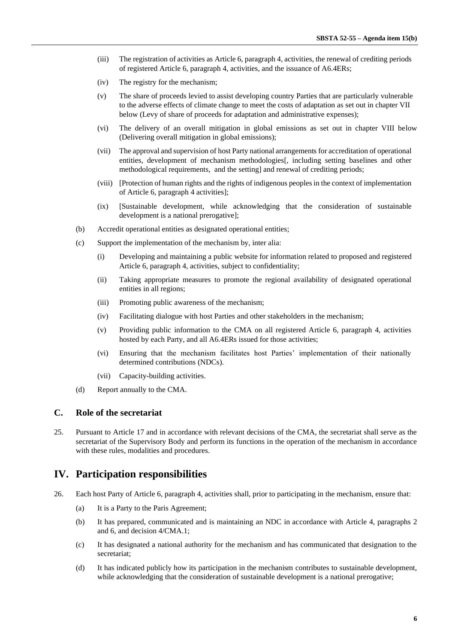- (iii) The registration of activities as Article 6, paragraph 4, activities, the renewal of crediting periods of registered Article 6, paragraph 4, activities, and the issuance of A6.4ERs;
- (iv) The registry for the mechanism;
- (v) The share of proceeds levied to assist developing country Parties that are particularly vulnerable to the adverse effects of climate change to meet the costs of adaptation as set out in chapter VII below (Levy of share of proceeds for adaptation and administrative expenses);
- (vi) The delivery of an overall mitigation in global emissions as set out in chapter VIII below (Delivering overall mitigation in global emissions);
- (vii) The approval and supervision of host Party national arrangements for accreditation of operational entities, development of mechanism methodologies[, including setting baselines and other methodological requirements, and the setting] and renewal of crediting periods;
- (viii) [Protection of human rights and the rights of indigenous peoples in the context of implementation of Article 6, paragraph 4 activities];
- (ix) [Sustainable development, while acknowledging that the consideration of sustainable development is a national prerogative];
- (b) Accredit operational entities as designated operational entities;
- (c) Support the implementation of the mechanism by, inter alia:
	- (i) Developing and maintaining a public website for information related to proposed and registered Article 6, paragraph 4, activities, subject to confidentiality;
	- (ii) Taking appropriate measures to promote the regional availability of designated operational entities in all regions;
	- (iii) Promoting public awareness of the mechanism;
	- (iv) Facilitating dialogue with host Parties and other stakeholders in the mechanism;
	- (v) Providing public information to the CMA on all registered Article 6, paragraph 4, activities hosted by each Party, and all A6.4ERs issued for those activities;
	- (vi) Ensuring that the mechanism facilitates host Parties' implementation of their nationally determined contributions (NDCs).
	- (vii) Capacity-building activities.
- (d) Report annually to the CMA.

#### **C. Role of the secretariat**

25. Pursuant to Article 17 and in accordance with relevant decisions of the CMA, the secretariat shall serve as the secretariat of the Supervisory Body and perform its functions in the operation of the mechanism in accordance with these rules, modalities and procedures.

## **IV. Participation responsibilities**

- 26. Each host Party of Article 6, paragraph 4, activities shall, prior to participating in the mechanism, ensure that:
	- (a) It is a Party to the Paris Agreement;
	- (b) It has prepared, communicated and is maintaining an NDC in accordance with Article 4, paragraphs 2 and 6, and decision 4/CMA.1;
	- (c) It has designated a national authority for the mechanism and has communicated that designation to the secretariat;
	- (d) It has indicated publicly how its participation in the mechanism contributes to sustainable development, while acknowledging that the consideration of sustainable development is a national prerogative;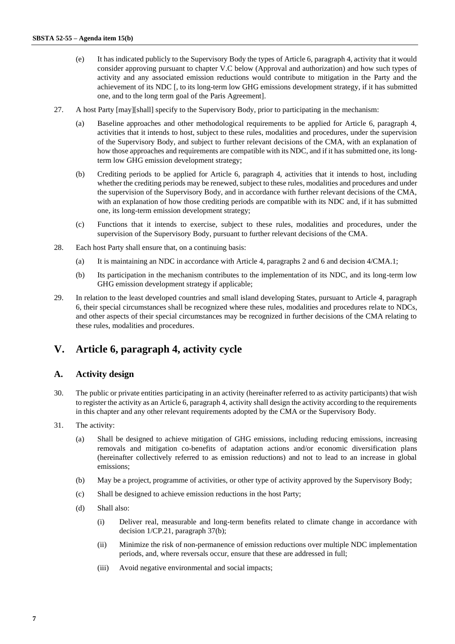- (e) It has indicated publicly to the Supervisory Body the types of Article 6, paragraph 4, activity that it would consider approving pursuant to chapter V.C below (Approval and authorization) and how such types of activity and any associated emission reductions would contribute to mitigation in the Party and the achievement of its NDC [, to its long-term low GHG emissions development strategy, if it has submitted one, and to the long term goal of the Paris Agreement].
- 27. A host Party [may][shall] specify to the Supervisory Body, prior to participating in the mechanism:
	- (a) Baseline approaches and other methodological requirements to be applied for Article 6, paragraph 4, activities that it intends to host, subject to these rules, modalities and procedures, under the supervision of the Supervisory Body, and subject to further relevant decisions of the CMA, with an explanation of how those approaches and requirements are compatible with its NDC, and if it has submitted one, its longterm low GHG emission development strategy;
	- (b) Crediting periods to be applied for Article 6, paragraph 4, activities that it intends to host, including whether the crediting periods may be renewed, subject to these rules, modalities and procedures and under the supervision of the Supervisory Body, and in accordance with further relevant decisions of the CMA, with an explanation of how those crediting periods are compatible with its NDC and, if it has submitted one, its long-term emission development strategy;
	- (c) Functions that it intends to exercise, subject to these rules, modalities and procedures, under the supervision of the Supervisory Body, pursuant to further relevant decisions of the CMA.
- 28. Each host Party shall ensure that, on a continuing basis:
	- (a) It is maintaining an NDC in accordance with Article 4, paragraphs 2 and 6 and decision 4/CMA.1;
	- (b) Its participation in the mechanism contributes to the implementation of its NDC, and its long-term low GHG emission development strategy if applicable;
- 29. In relation to the least developed countries and small island developing States, pursuant to Article 4, paragraph 6, their special circumstances shall be recognized where these rules, modalities and procedures relate to NDCs, and other aspects of their special circumstances may be recognized in further decisions of the CMA relating to these rules, modalities and procedures.

# **V. Article 6, paragraph 4, activity cycle**

#### **A. Activity design**

- 30. The public or private entities participating in an activity (hereinafter referred to as activity participants) that wish to register the activity as an Article 6, paragraph 4, activity shall design the activity according to the requirements in this chapter and any other relevant requirements adopted by the CMA or the Supervisory Body.
- 31. The activity:
	- (a) Shall be designed to achieve mitigation of GHG emissions, including reducing emissions, increasing removals and mitigation co-benefits of adaptation actions and/or economic diversification plans (hereinafter collectively referred to as emission reductions) and not to lead to an increase in global emissions;
	- (b) May be a project, programme of activities, or other type of activity approved by the Supervisory Body;
	- (c) Shall be designed to achieve emission reductions in the host Party;
	- (d) Shall also:
		- (i) Deliver real, measurable and long-term benefits related to climate change in accordance with decision 1/CP.21, paragraph 37(b);
		- (ii) Minimize the risk of non-permanence of emission reductions over multiple NDC implementation periods, and, where reversals occur, ensure that these are addressed in full;
		- (iii) Avoid negative environmental and social impacts;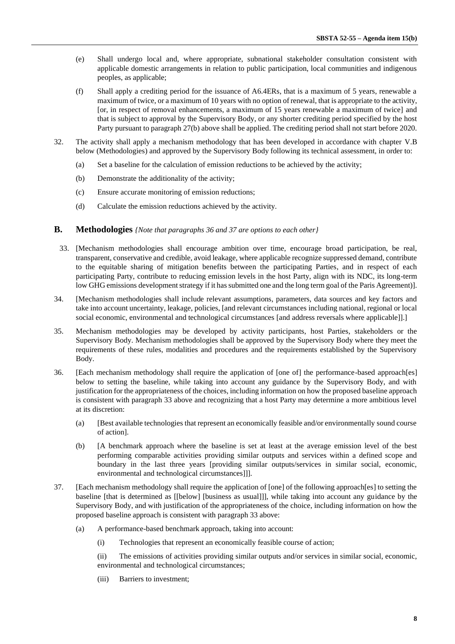- (e) Shall undergo local and, where appropriate, subnational stakeholder consultation consistent with applicable domestic arrangements in relation to public participation, local communities and indigenous peoples, as applicable;
- (f) Shall apply a crediting period for the issuance of A6.4ERs, that is a maximum of 5 years, renewable a maximum of twice, or a maximum of 10 years with no option of renewal, that is appropriate to the activity, [or, in respect of removal enhancements, a maximum of 15 years renewable a maximum of twice] and that is subject to approval by the Supervisory Body, or any shorter crediting period specified by the host Party pursuant to paragraph 27(b) above shall be applied. The crediting period shall not start before 2020.
- 32. The activity shall apply a mechanism methodology that has been developed in accordance with chapter V.B below (Methodologies) and approved by the Supervisory Body following its technical assessment, in order to:
	- (a) Set a baseline for the calculation of emission reductions to be achieved by the activity;
	- (b) Demonstrate the additionality of the activity;
	- (c) Ensure accurate monitoring of emission reductions;
	- (d) Calculate the emission reductions achieved by the activity.

#### **B. Methodologies** *{Note that paragraphs 36 and 37 are options to each other}*

- 33. [Mechanism methodologies shall encourage ambition over time, encourage broad participation, be real, transparent, conservative and credible, avoid leakage, where applicable recognize suppressed demand, contribute to the equitable sharing of mitigation benefits between the participating Parties, and in respect of each participating Party, contribute to reducing emission levels in the host Party, align with its NDC, its long-term low GHG emissions development strategy if it has submitted one and the long term goal of the Paris Agreement)].
- 34. [Mechanism methodologies shall include relevant assumptions, parameters, data sources and key factors and take into account uncertainty, leakage, policies, [and relevant circumstances including national, regional or local social economic, environmental and technological circumstances [and address reversals where applicable]].]
- 35. Mechanism methodologies may be developed by activity participants, host Parties, stakeholders or the Supervisory Body. Mechanism methodologies shall be approved by the Supervisory Body where they meet the requirements of these rules, modalities and procedures and the requirements established by the Supervisory Body.
- 36. [Each mechanism methodology shall require the application of [one of] the performance-based approach[es] below to setting the baseline, while taking into account any guidance by the Supervisory Body, and with justification for the appropriateness of the choices, including information on how the proposed baseline approach is consistent with paragraph 33 above and recognizing that a host Party may determine a more ambitious level at its discretion:
	- (a) [Best available technologies that represent an economically feasible and/or environmentally sound course of action].
	- (b) [A benchmark approach where the baseline is set at least at the average emission level of the best performing comparable activities providing similar outputs and services within a defined scope and boundary in the last three years [providing similar outputs/services in similar social, economic, environmental and technological circumstances]]].
- 37. [Each mechanism methodology shall require the application of [one] of the following approach[es] to setting the baseline [that is determined as [[below] [business as usual]]], while taking into account any guidance by the Supervisory Body, and with justification of the appropriateness of the choice, including information on how the proposed baseline approach is consistent with paragraph 33 above:
	- (a) A performance-based benchmark approach, taking into account:
		- (i) Technologies that represent an economically feasible course of action;

(ii) The emissions of activities providing similar outputs and/or services in similar social, economic, environmental and technological circumstances;

(iii) Barriers to investment;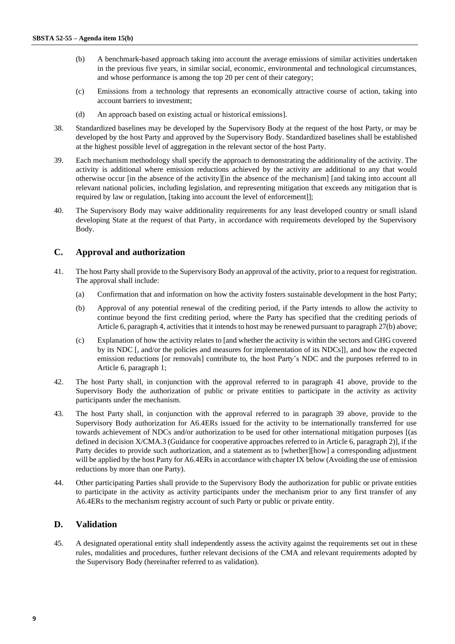- (b) A benchmark-based approach taking into account the average emissions of similar activities undertaken in the previous five years, in similar social, economic, environmental and technological circumstances, and whose performance is among the top 20 per cent of their category;
- (c) Emissions from a technology that represents an economically attractive course of action, taking into account barriers to investment;
- (d) An approach based on existing actual or historical emissions].
- 38. Standardized baselines may be developed by the Supervisory Body at the request of the host Party, or may be developed by the host Party and approved by the Supervisory Body. Standardized baselines shall be established at the highest possible level of aggregation in the relevant sector of the host Party.
- 39. Each mechanism methodology shall specify the approach to demonstrating the additionality of the activity. The activity is additional where emission reductions achieved by the activity are additional to any that would otherwise occur [in the absence of the activity][in the absence of the mechanism] [and taking into account all relevant national policies, including legislation, and representing mitigation that exceeds any mitigation that is required by law or regulation, [taking into account the level of enforcement]];
- 40. The Supervisory Body may waive additionality requirements for any least developed country or small island developing State at the request of that Party, in accordance with requirements developed by the Supervisory Body.

### **C. Approval and authorization**

- 41. The host Party shall provide to the Supervisory Body an approval of the activity, prior to a request for registration. The approval shall include:
	- (a) Confirmation that and information on how the activity fosters sustainable development in the host Party;
	- (b) Approval of any potential renewal of the crediting period, if the Party intends to allow the activity to continue beyond the first crediting period, where the Party has specified that the crediting periods of Article 6, paragraph 4, activities that it intends to host may be renewed pursuant to paragraph 27(b) above;
	- (c) Explanation of how the activity relates to [and whether the activity is within the sectors and GHG covered by its NDC [, and/or the policies and measures for implementation of its NDCs]], and how the expected emission reductions [or removals] contribute to, the host Party's NDC and the purposes referred to in Article 6, paragraph 1;
- 42. The host Party shall, in conjunction with the approval referred to in paragraph 41 above, provide to the Supervisory Body the authorization of public or private entities to participate in the activity as activity participants under the mechanism.
- 43. The host Party shall, in conjunction with the approval referred to in paragraph 39 above, provide to the Supervisory Body authorization for A6.4ERs issued for the activity to be internationally transferred for use towards achievement of NDCs and/or authorization to be used for other international mitigation purposes [(as defined in decision X/CMA.3 (Guidance for cooperative approaches referred to in Article 6, paragraph 2)], if the Party decides to provide such authorization, and a statement as to [whether][how] a corresponding adjustment will be applied by the host Party for A6.4ERs in accordance with chapter IX below (Avoiding the use of emission reductions by more than one Party).
- 44. Other participating Parties shall provide to the Supervisory Body the authorization for public or private entities to participate in the activity as activity participants under the mechanism prior to any first transfer of any A6.4ERs to the mechanism registry account of such Party or public or private entity.

#### **D. Validation**

45. A designated operational entity shall independently assess the activity against the requirements set out in these rules, modalities and procedures, further relevant decisions of the CMA and relevant requirements adopted by the Supervisory Body (hereinafter referred to as validation).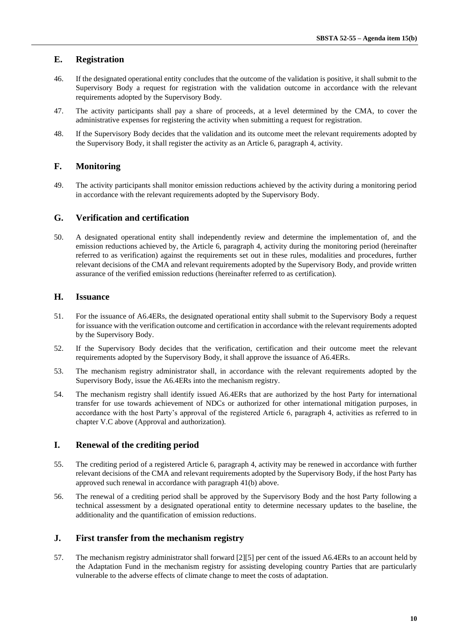## **E. Registration**

- 46. If the designated operational entity concludes that the outcome of the validation is positive, it shall submit to the Supervisory Body a request for registration with the validation outcome in accordance with the relevant requirements adopted by the Supervisory Body.
- 47. The activity participants shall pay a share of proceeds, at a level determined by the CMA, to cover the administrative expenses for registering the activity when submitting a request for registration.
- 48. If the Supervisory Body decides that the validation and its outcome meet the relevant requirements adopted by the Supervisory Body, it shall register the activity as an Article 6, paragraph 4, activity.

## **F. Monitoring**

49. The activity participants shall monitor emission reductions achieved by the activity during a monitoring period in accordance with the relevant requirements adopted by the Supervisory Body.

### **G. Verification and certification**

50. A designated operational entity shall independently review and determine the implementation of, and the emission reductions achieved by, the Article 6, paragraph 4, activity during the monitoring period (hereinafter referred to as verification) against the requirements set out in these rules, modalities and procedures, further relevant decisions of the CMA and relevant requirements adopted by the Supervisory Body, and provide written assurance of the verified emission reductions (hereinafter referred to as certification).

## **H. Issuance**

- 51. For the issuance of A6.4ERs, the designated operational entity shall submit to the Supervisory Body a request for issuance with the verification outcome and certification in accordance with the relevant requirements adopted by the Supervisory Body.
- 52. If the Supervisory Body decides that the verification, certification and their outcome meet the relevant requirements adopted by the Supervisory Body, it shall approve the issuance of A6.4ERs.
- 53. The mechanism registry administrator shall, in accordance with the relevant requirements adopted by the Supervisory Body, issue the A6.4ERs into the mechanism registry.
- 54. The mechanism registry shall identify issued A6.4ERs that are authorized by the host Party for international transfer for use towards achievement of NDCs or authorized for other international mitigation purposes, in accordance with the host Party's approval of the registered Article 6, paragraph 4, activities as referred to in chapter V.C above (Approval and authorization).

#### **I. Renewal of the crediting period**

- 55. The crediting period of a registered Article 6, paragraph 4, activity may be renewed in accordance with further relevant decisions of the CMA and relevant requirements adopted by the Supervisory Body, if the host Party has approved such renewal in accordance with paragraph 41(b) above.
- 56. The renewal of a crediting period shall be approved by the Supervisory Body and the host Party following a technical assessment by a designated operational entity to determine necessary updates to the baseline, the additionality and the quantification of emission reductions.

## **J. First transfer from the mechanism registry**

57. The mechanism registry administrator shall forward [2][5] per cent of the issued A6.4ERs to an account held by the Adaptation Fund in the mechanism registry for assisting developing country Parties that are particularly vulnerable to the adverse effects of climate change to meet the costs of adaptation.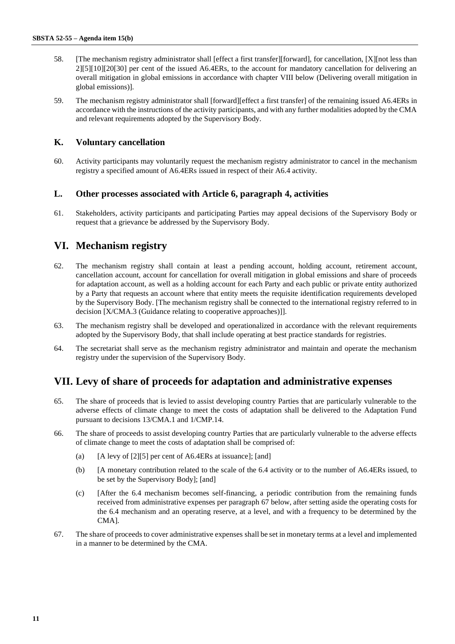- 58. [The mechanism registry administrator shall [effect a first transfer][forward], for cancellation, [X][not less than 2][5][10][20[30] per cent of the issued A6.4ERs, to the account for mandatory cancellation for delivering an overall mitigation in global emissions in accordance with chapter VIII below (Delivering overall mitigation in global emissions)].
- 59. The mechanism registry administrator shall [forward][effect a first transfer] of the remaining issued A6.4ERs in accordance with the instructions of the activity participants, and with any further modalities adopted by the CMA and relevant requirements adopted by the Supervisory Body.

### **K. Voluntary cancellation**

60. Activity participants may voluntarily request the mechanism registry administrator to cancel in the mechanism registry a specified amount of A6.4ERs issued in respect of their A6.4 activity.

#### **L. Other processes associated with Article 6, paragraph 4, activities**

61. Stakeholders, activity participants and participating Parties may appeal decisions of the Supervisory Body or request that a grievance be addressed by the Supervisory Body.

# **VI. Mechanism registry**

- 62. The mechanism registry shall contain at least a pending account, holding account, retirement account, cancellation account, account for cancellation for overall mitigation in global emissions and share of proceeds for adaptation account, as well as a holding account for each Party and each public or private entity authorized by a Party that requests an account where that entity meets the requisite identification requirements developed by the Supervisory Body. [The mechanism registry shall be connected to the international registry referred to in decision [X/CMA.3 (Guidance relating to cooperative approaches)]].
- 63. The mechanism registry shall be developed and operationalized in accordance with the relevant requirements adopted by the Supervisory Body, that shall include operating at best practice standards for registries.
- 64. The secretariat shall serve as the mechanism registry administrator and maintain and operate the mechanism registry under the supervision of the Supervisory Body.

## **VII. Levy of share of proceeds for adaptation and administrative expenses**

- 65. The share of proceeds that is levied to assist developing country Parties that are particularly vulnerable to the adverse effects of climate change to meet the costs of adaptation shall be delivered to the Adaptation Fund pursuant to decisions 13/CMA.1 and 1/CMP.14.
- 66. The share of proceeds to assist developing country Parties that are particularly vulnerable to the adverse effects of climate change to meet the costs of adaptation shall be comprised of:
	- (a)  $[A]$  [A levy of [2][5] per cent of A6.4ERs at issuance]; [and]
	- (b) [A monetary contribution related to the scale of the 6.4 activity or to the number of A6.4ERs issued, to be set by the Supervisory Body]; [and]
	- (c) [After the 6.4 mechanism becomes self-financing, a periodic contribution from the remaining funds received from administrative expenses per paragraph 67 below, after setting aside the operating costs for the 6.4 mechanism and an operating reserve, at a level, and with a frequency to be determined by the CMA].
- 67. The share of proceeds to cover administrative expenses shall be set in monetary terms at a level and implemented in a manner to be determined by the CMA.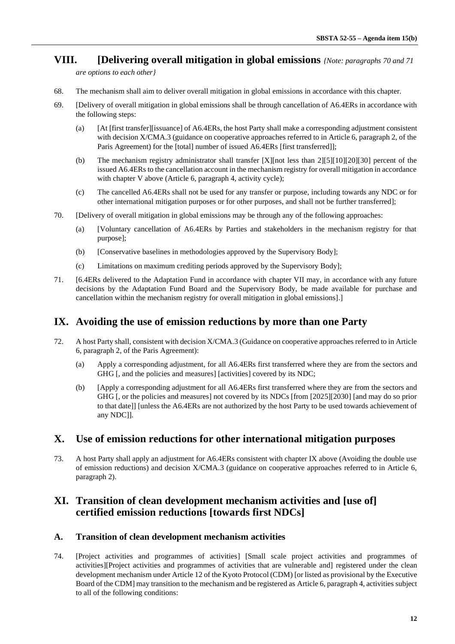# **VIII. [Delivering overall mitigation in global emissions** *{Note: paragraphs 70 and 71*

*are options to each other}* 

- 68. The mechanism shall aim to deliver overall mitigation in global emissions in accordance with this chapter.
- 69. [Delivery of overall mitigation in global emissions shall be through cancellation of A6.4ERs in accordance with the following steps:
	- (a) [At [first transfer][issuance] of A6.4ERs, the host Party shall make a corresponding adjustment consistent with decision X/CMA.3 (guidance on cooperative approaches referred to in Article 6, paragraph 2, of the Paris Agreement) for the [total] number of issued A6.4ERs [first transferred]];
	- (b) The mechanism registry administrator shall transfer [X][not less than 2][5][10][20][30] percent of the issued A6.4ERs to the cancellation account in the mechanism registry for overall mitigation in accordance with chapter V above (Article 6, paragraph 4, activity cycle);
	- (c) The cancelled A6.4ERs shall not be used for any transfer or purpose, including towards any NDC or for other international mitigation purposes or for other purposes, and shall not be further transferred];
- 70. [Delivery of overall mitigation in global emissions may be through any of the following approaches:
	- (a) [Voluntary cancellation of A6.4ERs by Parties and stakeholders in the mechanism registry for that purpose];
	- (b) [Conservative baselines in methodologies approved by the Supervisory Body];
	- (c) Limitations on maximum crediting periods approved by the Supervisory Body];
- 71. [6.4ERs delivered to the Adaptation Fund in accordance with chapter VII may, in accordance with any future decisions by the Adaptation Fund Board and the Supervisory Body, be made available for purchase and cancellation within the mechanism registry for overall mitigation in global emissions].]

# **IX. Avoiding the use of emission reductions by more than one Party**

- 72. A host Party shall, consistent with decision X/CMA.3 (Guidance on cooperative approaches referred to in Article 6, paragraph 2, of the Paris Agreement):
	- (a) Apply a corresponding adjustment, for all A6.4ERs first transferred where they are from the sectors and GHG [, and the policies and measures] [activities] covered by its NDC;
	- (b) [Apply a corresponding adjustment for all A6.4ERs first transferred where they are from the sectors and GHG [, or the policies and measures] not covered by its NDCs [from [2025][2030] [and may do so prior to that date]] [unless the A6.4ERs are not authorized by the host Party to be used towards achievement of any NDC]].

## **X. Use of emission reductions for other international mitigation purposes**

73. A host Party shall apply an adjustment for A6.4ERs consistent with chapter IX above (Avoiding the double use of emission reductions) and decision X/CMA.3 (guidance on cooperative approaches referred to in Article 6, paragraph 2).

# **XI. Transition of clean development mechanism activities and [use of] certified emission reductions [towards first NDCs]**

#### **A. Transition of clean development mechanism activities**

74. [Project activities and programmes of activities] [Small scale project activities and programmes of activities][Project activities and programmes of activities that are vulnerable and] registered under the clean development mechanism under Article 12 of the Kyoto Protocol (CDM) [or listed as provisional by the Executive Board of the CDM] may transition to the mechanism and be registered as Article 6, paragraph 4, activities subject to all of the following conditions: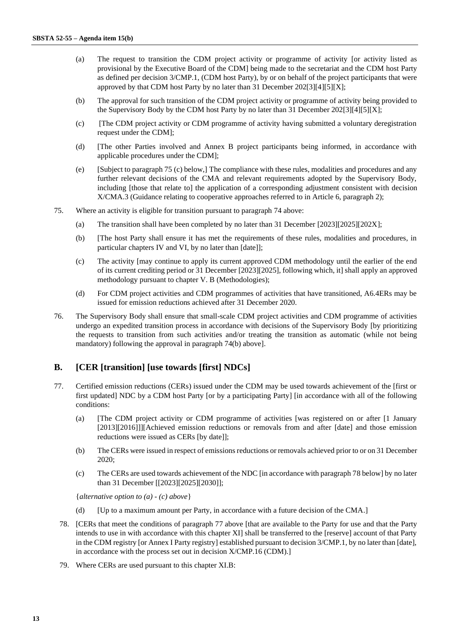- (a) The request to transition the CDM project activity or programme of activity [or activity listed as provisional by the Executive Board of the CDM] being made to the secretariat and the CDM host Party as defined per decision 3/CMP.1, (CDM host Party), by or on behalf of the project participants that were approved by that CDM host Party by no later than 31 December 202[3][4][5][X];
- (b) The approval for such transition of the CDM project activity or programme of activity being provided to the Supervisory Body by the CDM host Party by no later than 31 December 202[3][4][5][X];
- (c) [The CDM project activity or CDM programme of activity having submitted a voluntary deregistration request under the CDM];
- (d) [The other Parties involved and Annex B project participants being informed, in accordance with applicable procedures under the CDM];
- (e) [Subject to paragraph 75 (c) below,] The compliance with these rules, modalities and procedures and any further relevant decisions of the CMA and relevant requirements adopted by the Supervisory Body, including [those that relate to] the application of a corresponding adjustment consistent with decision X/CMA.3 (Guidance relating to cooperative approaches referred to in Article 6, paragraph 2);
- 75. Where an activity is eligible for transition pursuant to paragraph 74 above:
	- (a) The transition shall have been completed by no later than 31 December [2023][2025][202X];
	- (b) [The host Party shall ensure it has met the requirements of these rules, modalities and procedures, in particular chapters IV and VI, by no later than [date]];
	- (c) The activity [may continue to apply its current approved CDM methodology until the earlier of the end of its current crediting period or 31 December [2023][2025], following which, it] shall apply an approved methodology pursuant to chapter V. B (Methodologies);
	- (d) For CDM project activities and CDM programmes of activities that have transitioned, A6.4ERs may be issued for emission reductions achieved after 31 December 2020.
- 76. The Supervisory Body shall ensure that small-scale CDM project activities and CDM programme of activities undergo an expedited transition process in accordance with decisions of the Supervisory Body [by prioritizing the requests to transition from such activities and/or treating the transition as automatic (while not being mandatory) following the approval in paragraph 74(b) above].

## **B. [CER [transition] [use towards [first] NDCs]**

- 77. Certified emission reductions (CERs) issued under the CDM may be used towards achievement of the [first or first updated] NDC by a CDM host Party [or by a participating Party] [in accordance with all of the following conditions:
	- (a) [The CDM project activity or CDM programme of activities [was registered on or after [1 January [2013][2016]]][Achieved emission reductions or removals from and after [date] and those emission reductions were issued as CERs [by date]];
	- (b) The CERs were issued in respect of emissions reductions or removals achieved prior to or on 31 December 2020;
	- (c) The CERs are used towards achievement of the NDC [in accordance with paragraph 78 below] by no later than 31 December [[2023][2025][2030]];

{*alternative option to (a) - (c) above*}

- (d) [Up to a maximum amount per Party, in accordance with a future decision of the CMA.]
- 78. [CERs that meet the conditions of paragraph 77 above [that are available to the Party for use and that the Party intends to use in with accordance with this chapter XI] shall be transferred to the [reserve] account of that Party in the CDM registry [or Annex I Party registry] established pursuant to decision 3/CMP.1, by no later than [date], in accordance with the process set out in decision X/CMP.16 (CDM).]
- 79. Where CERs are used pursuant to this chapter XI.B: